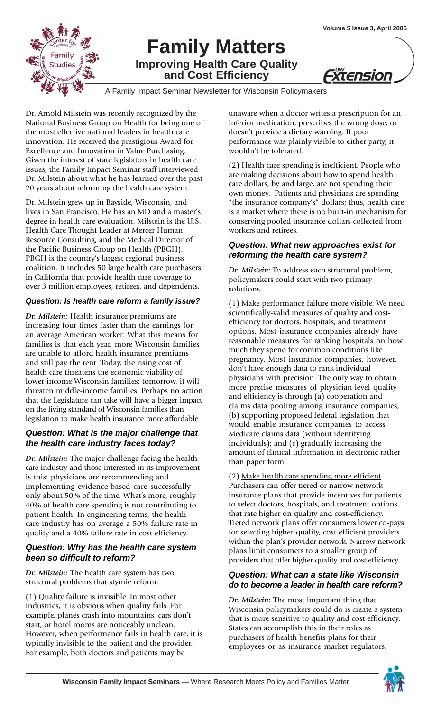

# **Family Matters Improving Health Care Quality and Cost Efficiency**

**Xtension** 

A Family Impact Seminar Newsletter for Wisconsin Policymakers

Dr. Arnold Milstein was recently recognized by the National Business Group on Health for being one of the most effective national leaders in health care innovation. He received the prestigious Award for Excellence and Innovation in Value Purchasing. Given the interest of state legislators in health care issues, the Family Impact Seminar staff interviewed Dr. Milstein about what he has learned over the past 20 years about reforming the health care system.

Dr. Milstein grew up in Bayside, Wisconsin, and lives in San Francisco. He has an MD and a master's degree in health care evaluation. Milstein is the U.S. Health Care Thought Leader at Mercer Human Resource Consulting, and the Medical Director of the Pacific Business Group on Health (PBGH). PBGH is the country's largest regional business coalition. It includes 50 large health care purchasers in California that provide health care coverage to over 3 million employees, retirees, and dependents.

### *Question: Is health care reform a family issue?*

*Dr. Milstein:* Health insurance premiums are increasing four times faster than the earnings for an average American worker. What this means for families is that each year, more Wisconsin families are unable to afford health insurance premiums and still pay the rent. Today, the rising cost of health care threatens the economic viability of lower-income Wisconsin families; tomorrow, it will threaten middle-income families. Perhaps no action that the Legislature can take will have a bigger impact on the living standard of Wisconsin families than legislation to make health insurance more affordable.

## *Question: What is the major challenge that the health care industry faces today?*

*Dr. Milstein:* The major challenge facing the health care industry and those interested in its improvement is this: physicians are recommending and implementing evidence-based care successfully only about 50% of the time. What's more, roughly 40% of health care spending is not contributing to patient health. In engineering terms, the health care industry has on average a 50% failure rate in quality and a 40% failure rate in cost-efficiency.

### *Question: Why has the health care system been so difficult to reform?*

*Dr. Milstein:* The health care system has two structural problems that stymie reform:

(1) Quality failure is invisible. In most other industries, it is obvious when quality fails. For example, planes crash into mountains, cars don't start, or hotel rooms are noticeably unclean. However, when performance fails in health care, it is typically invisible to the patient and the provider. For example, both doctors and patients may be

unaware when a doctor writes a prescription for an inferior medication, prescribes the wrong dose, or doesn't provide a dietary warning. If poor performance was plainly visible to either party, it wouldn't be tolerated.

(2) Health care spending is inefficient. People who are making decisions about how to spend health care dollars, by and large, are not spending their own money. Patients and physicians are spending "the insurance company's" dollars; thus, health care is a market where there is no built-in mechanism for conserving pooled insurance dollars collected from workers and retirees.

#### *Question: What new approaches exist for reforming the health care system?*

*Dr. Milstein*: To address each structural problem, policymakers could start with two primary solutions.

(1) Make performance failure more visible. We need scientifically-valid measures of quality and costefficiency for doctors, hospitals, and treatment options. Most insurance companies already have reasonable measures for ranking hospitals on how much they spend for common conditions like pregnancy. Most insurance companies, however, don't have enough data to rank individual physicians with precision. The only way to obtain more precise measures of physician-level quality and efficiency is through (a) cooperation and claims data pooling among insurance companies; (b) supporting proposed federal legislation that would enable insurance companies to access Medicare claims data (without identifying individuals); and (c) gradually increasing the amount of clinical information in electronic rather than paper form.

(2) Make health care spending more efficient. Purchasers can offer tiered or narrow network insurance plans that provide incentives for patients to select doctors, hospitals, and treatment options that rate higher on quality and cost-efficiency. Tiered network plans offer consumers lower co-pays for selecting higher-quality, cost-efficient providers within the plan's provider network. Narrow network plans limit consumers to a smaller group of providers that offer higher quality and cost efficiency.

#### *Question: What can a state like Wisconsin do to become a leader in health care reform?*

*Dr. Milstein:* The most important thing that Wisconsin policymakers could do is create a system that is more sensitive to quality and cost efficiency. States can accomplish this in their roles as purchasers of health benefits plans for their employees or as insurance market regulators.